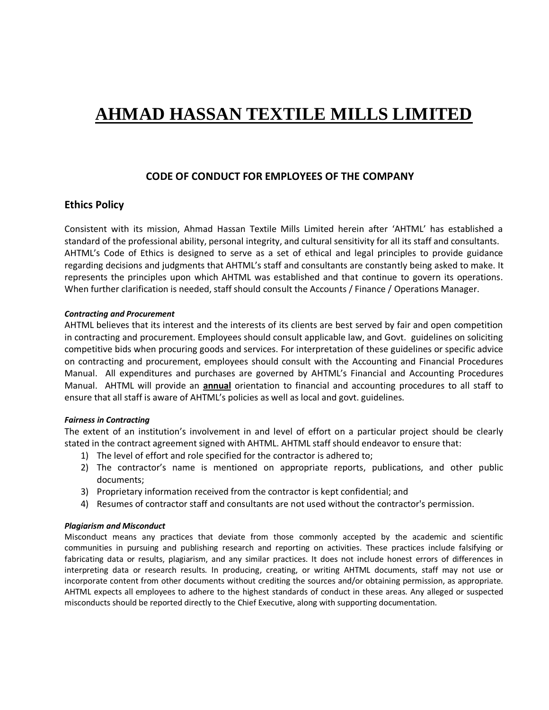# **AHMAD HASSAN TEXTILE MILLS LIMITED**

# **CODE OF CONDUCT FOR EMPLOYEES OF THE COMPANY**

# **Ethics Policy**

Consistent with its mission, Ahmad Hassan Textile Mills Limited herein after 'AHTML' has established a standard of the professional ability, personal integrity, and cultural sensitivity for all its staff and consultants. AHTML's Code of Ethics is designed to serve as a set of ethical and legal principles to provide guidance regarding decisions and judgments that AHTML's staff and consultants are constantly being asked to make. It represents the principles upon which AHTML was established and that continue to govern its operations. When further clarification is needed, staff should consult the Accounts / Finance / Operations Manager.

# *Contracting and Procurement*

AHTML believes that its interest and the interests of its clients are best served by fair and open competition in contracting and procurement. Employees should consult applicable law, and Govt. guidelines on soliciting competitive bids when procuring goods and services. For interpretation of these guidelines or specific advice on contracting and procurement, employees should consult with the Accounting and Financial Procedures Manual. All expenditures and purchases are governed by AHTML's Financial and Accounting Procedures Manual. AHTML will provide an **annual** orientation to financial and accounting procedures to all staff to ensure that all staff is aware of AHTML's policies as well as local and govt. guidelines.

# *Fairness in Contracting*

The extent of an institution's involvement in and level of effort on a particular project should be clearly stated in the contract agreement signed with AHTML. AHTML staff should endeavor to ensure that:

- 1) The level of effort and role specified for the contractor is adhered to;
- 2) The contractor's name is mentioned on appropriate reports, publications, and other public documents;
- 3) Proprietary information received from the contractor is kept confidential; and
- 4) Resumes of contractor staff and consultants are not used without the contractor's permission.

# *Plagiarism and Misconduct*

Misconduct means any practices that deviate from those commonly accepted by the academic and scientific communities in pursuing and publishing research and reporting on activities. These practices include falsifying or fabricating data or results, plagiarism, and any similar practices. It does not include honest errors of differences in interpreting data or research results. In producing, creating, or writing AHTML documents, staff may not use or incorporate content from other documents without crediting the sources and/or obtaining permission, as appropriate. AHTML expects all employees to adhere to the highest standards of conduct in these areas. Any alleged or suspected misconducts should be reported directly to the Chief Executive, along with supporting documentation.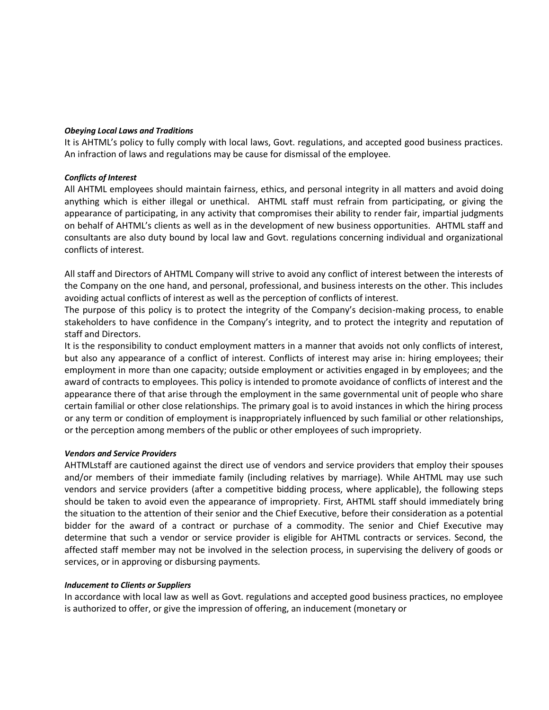# *Obeying Local Laws and Traditions*

It is AHTML's policy to fully comply with local laws, Govt. regulations, and accepted good business practices. An infraction of laws and regulations may be cause for dismissal of the employee.

# *Conflicts of Interest*

All AHTML employees should maintain fairness, ethics, and personal integrity in all matters and avoid doing anything which is either illegal or unethical. AHTML staff must refrain from participating, or giving the appearance of participating, in any activity that compromises their ability to render fair, impartial judgments on behalf of AHTML's clients as well as in the development of new business opportunities. AHTML staff and consultants are also duty bound by local law and Govt. regulations concerning individual and organizational conflicts of interest.

All staff and Directors of AHTML Company will strive to avoid any conflict of interest between the interests of the Company on the one hand, and personal, professional, and business interests on the other. This includes avoiding actual conflicts of interest as well as the perception of conflicts of interest.

The purpose of this policy is to protect the integrity of the Company's decision-making process, to enable stakeholders to have confidence in the Company's integrity, and to protect the integrity and reputation of staff and Directors.

It is the responsibility to conduct employment matters in a manner that avoids not only conflicts of interest, but also any appearance of a conflict of interest. Conflicts of interest may arise in: hiring employees; their employment in more than one capacity; outside employment or activities engaged in by employees; and the award of contracts to employees. This policy is intended to promote avoidance of conflicts of interest and the appearance there of that arise through the employment in the same governmental unit of people who share certain familial or other close relationships. The primary goal is to avoid instances in which the hiring process or any term or condition of employment is inappropriately influenced by such familial or other relationships, or the perception among members of the public or other employees of such impropriety.

# *Vendors and Service Providers*

AHTMLstaff are cautioned against the direct use of vendors and service providers that employ their spouses and/or members of their immediate family (including relatives by marriage). While AHTML may use such vendors and service providers (after a competitive bidding process, where applicable), the following steps should be taken to avoid even the appearance of impropriety. First, AHTML staff should immediately bring the situation to the attention of their senior and the Chief Executive, before their consideration as a potential bidder for the award of a contract or purchase of a commodity. The senior and Chief Executive may determine that such a vendor or service provider is eligible for AHTML contracts or services. Second, the affected staff member may not be involved in the selection process, in supervising the delivery of goods or services, or in approving or disbursing payments.

# *Inducement to Clients or Suppliers*

In accordance with local law as well as Govt. regulations and accepted good business practices, no employee is authorized to offer, or give the impression of offering, an inducement (monetary or